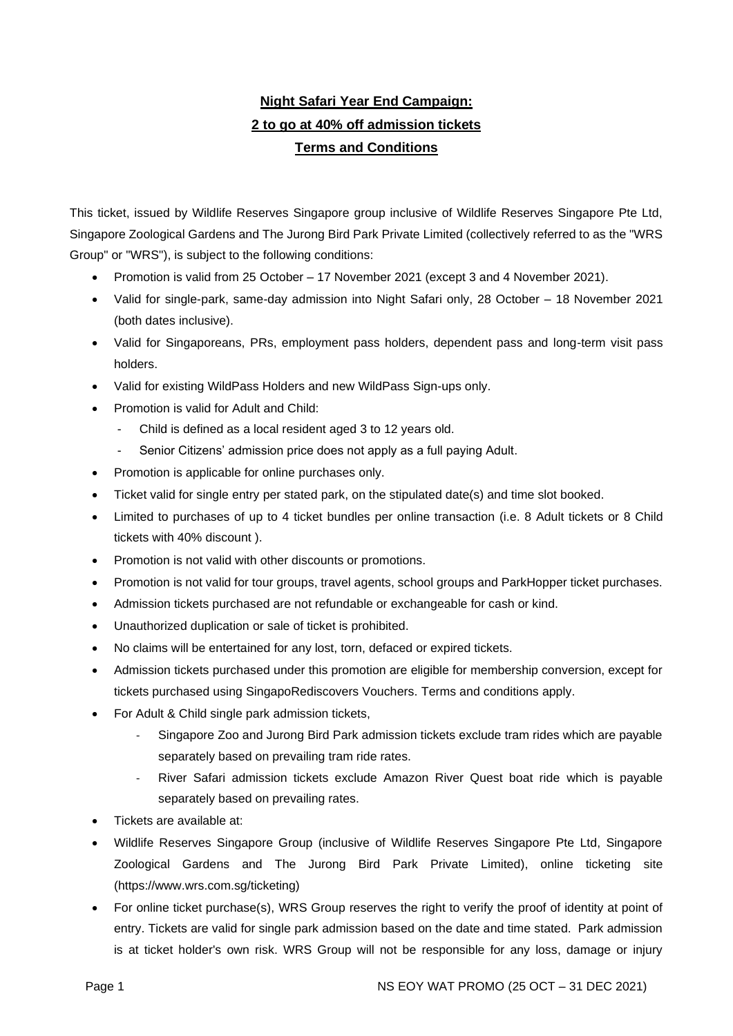## **Night Safari Year End Campaign: 2 to go at 40% off admission tickets Terms and Conditions**

This ticket, issued by Wildlife Reserves Singapore group inclusive of Wildlife Reserves Singapore Pte Ltd, Singapore Zoological Gardens and The Jurong Bird Park Private Limited (collectively referred to as the "WRS Group" or "WRS"), is subject to the following conditions:

- Promotion is valid from 25 October 17 November 2021 (except 3 and 4 November 2021).
- Valid for single-park, same-day admission into Night Safari only, 28 October 18 November 2021 (both dates inclusive).
- Valid for Singaporeans, PRs, employment pass holders, dependent pass and long-term visit pass holders.
- Valid for existing WildPass Holders and new WildPass Sign-ups only.
- Promotion is valid for Adult and Child:
	- Child is defined as a local resident aged 3 to 12 years old.
	- Senior Citizens' admission price does not apply as a full paying Adult.
- Promotion is applicable for online purchases only.
- Ticket valid for single entry per stated park, on the stipulated date(s) and time slot booked.
- Limited to purchases of up to 4 ticket bundles per online transaction (i.e. 8 Adult tickets or 8 Child tickets with 40% discount ).
- Promotion is not valid with other discounts or promotions.
- Promotion is not valid for tour groups, travel agents, school groups and ParkHopper ticket purchases.
- Admission tickets purchased are not refundable or exchangeable for cash or kind.
- Unauthorized duplication or sale of ticket is prohibited.
- No claims will be entertained for any lost, torn, defaced or expired tickets.
- Admission tickets purchased under this promotion are eligible for membership conversion, except for tickets purchased using SingapoRediscovers Vouchers. Terms and conditions apply.
- For Adult & Child single park admission tickets,
	- Singapore Zoo and Jurong Bird Park admission tickets exclude tram rides which are payable separately based on prevailing tram ride rates.
	- River Safari admission tickets exclude Amazon River Quest boat ride which is payable separately based on prevailing rates.
- Tickets are available at:
- Wildlife Reserves Singapore Group (inclusive of Wildlife Reserves Singapore Pte Ltd, Singapore Zoological Gardens and The Jurong Bird Park Private Limited), online ticketing site (https://www.wrs.com.sg/ticketing)
- For online ticket purchase(s), WRS Group reserves the right to verify the proof of identity at point of entry. Tickets are valid for single park admission based on the date and time stated. Park admission is at ticket holder's own risk. WRS Group will not be responsible for any loss, damage or injury